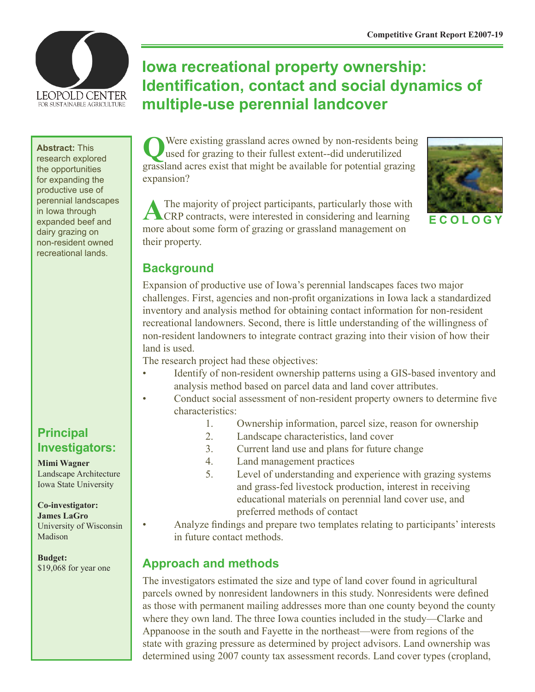

**Abstract:** This research explored the opportunities for expanding the productive use of perennial landscapes in Iowa through expanded beef and dairy grazing on non-resident owned recreational lands.

# **Iowa recreational property ownership: Identification, contact and social dynamics of multiple-use perennial landcover**

**Q**Were existing grassland acres owned by non-residents being used for grazing to their fullest extent--did underutilized grassland acres exist that might be available for potential grazing expansion?





**E C O L O G Y**

## **Background**

Expansion of productive use of Iowa's perennial landscapes faces two major challenges. First, agencies and non-profit organizations in Iowa lack a standardized inventory and analysis method for obtaining contact information for non-resident recreational landowners. Second, there is little understanding of the willingness of non-resident landowners to integrate contract grazing into their vision of how their land is used.

The research project had these objectives:

- Identify of non-resident ownership patterns using a GIS-based inventory and analysis method based on parcel data and land cover attributes.
- Conduct social assessment of non-resident property owners to determine five characteristics:
	- 1. Ownership information, parcel size, reason for ownership
	- 2. Landscape characteristics, land cover
	- 3. Current land use and plans for future change
	- 4. Land management practices
	- 5. Level of understanding and experience with grazing systems and grass-fed livestock production, interest in receiving educational materials on perennial land cover use, and preferred methods of contact
	- Analyze findings and prepare two templates relating to participants' interests in future contact methods.

## **Approach and methods**

The investigators estimated the size and type of land cover found in agricultural parcels owned by nonresident landowners in this study. Nonresidents were defined as those with permanent mailing addresses more than one county beyond the county where they own land. The three Iowa counties included in the study—Clarke and Appanoose in the south and Fayette in the northeast—were from regions of the state with grazing pressure as determined by project advisors. Land ownership was determined using 2007 county tax assessment records. Land cover types (cropland,

**Principal Investigators:**

**Mimi Wagner**

Landscape Architecture Iowa State University

#### **Co-investigator:**

**James LaGro** University of Wisconsin Madison

**Budget:** \$19,068 for year one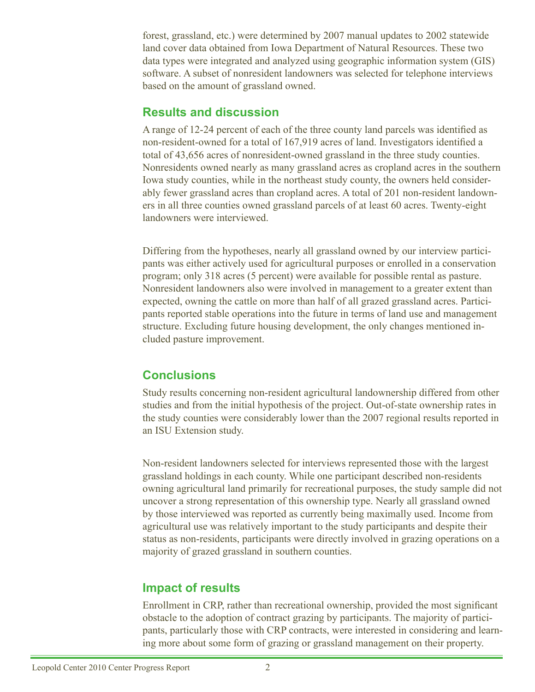forest, grassland, etc.) were determined by 2007 manual updates to 2002 statewide land cover data obtained from Iowa Department of Natural Resources. These two data types were integrated and analyzed using geographic information system (GIS) software. A subset of nonresident landowners was selected for telephone interviews based on the amount of grassland owned.

#### **Results and discussion**

A range of 12-24 percent of each of the three county land parcels was identified as non-resident-owned for a total of 167,919 acres of land. Investigators identified a total of 43,656 acres of nonresident-owned grassland in the three study counties. Nonresidents owned nearly as many grassland acres as cropland acres in the southern Iowa study counties, while in the northeast study county, the owners held considerably fewer grassland acres than cropland acres. A total of 201 non-resident landowners in all three counties owned grassland parcels of at least 60 acres. Twenty-eight landowners were interviewed.

Differing from the hypotheses, nearly all grassland owned by our interview participants was either actively used for agricultural purposes or enrolled in a conservation program; only 318 acres (5 percent) were available for possible rental as pasture. Nonresident landowners also were involved in management to a greater extent than expected, owning the cattle on more than half of all grazed grassland acres. Participants reported stable operations into the future in terms of land use and management structure. Excluding future housing development, the only changes mentioned included pasture improvement.

## **Conclusions**

Study results concerning non-resident agricultural landownership differed from other studies and from the initial hypothesis of the project. Out-of-state ownership rates in the study counties were considerably lower than the 2007 regional results reported in an ISU Extension study.

Non-resident landowners selected for interviews represented those with the largest grassland holdings in each county. While one participant described non-residents owning agricultural land primarily for recreational purposes, the study sample did not uncover a strong representation of this ownership type. Nearly all grassland owned by those interviewed was reported as currently being maximally used. Income from agricultural use was relatively important to the study participants and despite their status as non-residents, participants were directly involved in grazing operations on a majority of grazed grassland in southern counties.

## **Impact of results**

Enrollment in CRP, rather than recreational ownership, provided the most significant obstacle to the adoption of contract grazing by participants. The majority of participants, particularly those with CRP contracts, were interested in considering and learning more about some form of grazing or grassland management on their property.